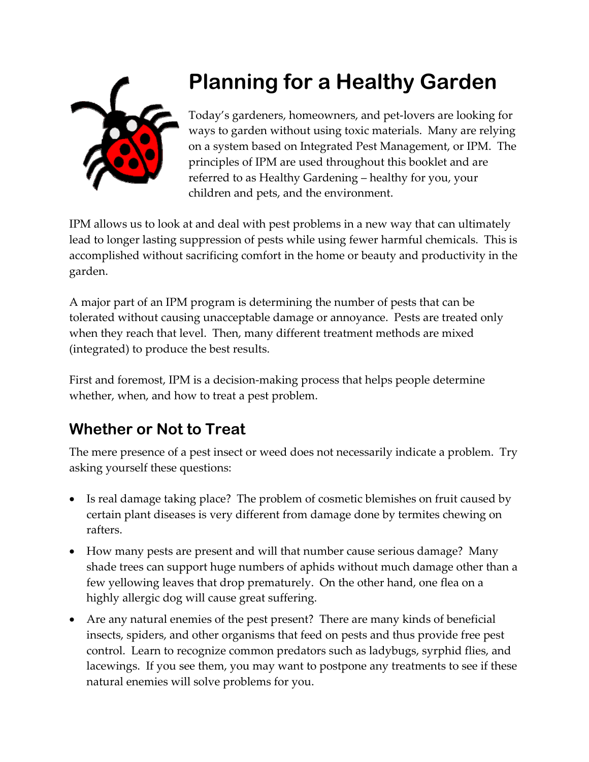

# **Planning for a Healthy Garden**

Today's gardeners, homeowners, and pet‐lovers are looking for ways to garden without using toxic materials. Many are relying on a system based on Integrated Pest Management, or IPM. The principles of IPM are used throughout this booklet and are referred to as Healthy Gardening – healthy for you, your children and pets, and the environment.

IPM allows us to look at and deal with pest problems in a new way that can ultimately lead to longer lasting suppression of pests while using fewer harmful chemicals. This is accomplished without sacrificing comfort in the home or beauty and productivity in the garden.

A major part of an IPM program is determining the number of pests that can be tolerated without causing unacceptable damage or annoyance. Pests are treated only when they reach that level. Then, many different treatment methods are mixed (integrated) to produce the best results.

First and foremost, IPM is a decision-making process that helps people determine whether, when, and how to treat a pest problem.

## **Whether or Not to Treat**

The mere presence of a pest insect or weed does not necessarily indicate a problem. Try asking yourself these questions:

- Is real damage taking place? The problem of cosmetic blemishes on fruit caused by certain plant diseases is very different from damage done by termites chewing on rafters.
- How many pests are present and will that number cause serious damage? Many shade trees can support huge numbers of aphids without much damage other than a few yellowing leaves that drop prematurely. On the other hand, one flea on a highly allergic dog will cause great suffering.
- Are any natural enemies of the pest present? There are many kinds of beneficial insects, spiders, and other organisms that feed on pests and thus provide free pest control. Learn to recognize common predators such as ladybugs, syrphid flies, and lacewings. If you see them, you may want to postpone any treatments to see if these natural enemies will solve problems for you.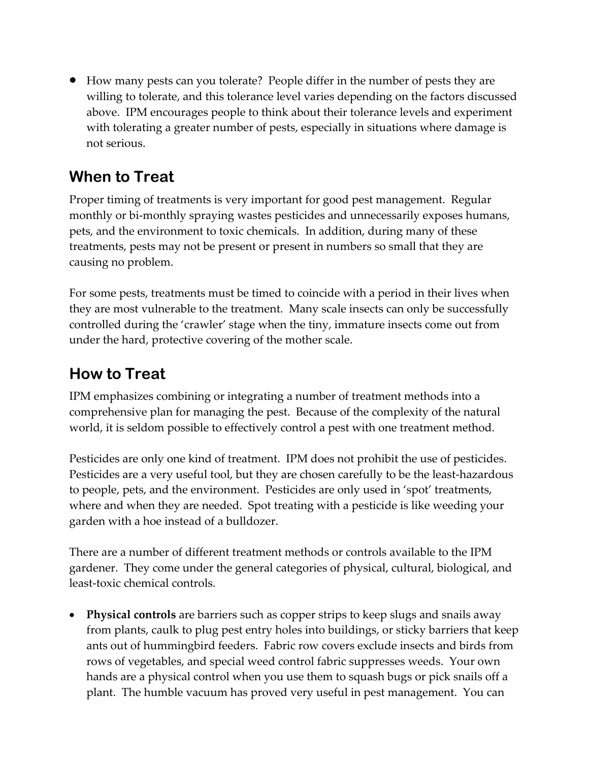• How many pests can you tolerate? People differ in the number of pests they are willing to tolerate, and this tolerance level varies depending on the factors discussed above. IPM encourages people to think about their tolerance levels and experiment with tolerating a greater number of pests, especially in situations where damage is not serious.

## **When to Treat**

Proper timing of treatments is very important for good pest management. Regular monthly or bi-monthly spraying wastes pesticides and unnecessarily exposes humans, pets, and the environment to toxic chemicals. In addition, during many of these treatments, pests may not be present or present in numbers so small that they are causing no problem.

For some pests, treatments must be timed to coincide with a period in their lives when they are most vulnerable to the treatment. Many scale insects can only be successfully controlled during the 'crawler' stage when the tiny, immature insects come out from under the hard, protective covering of the mother scale.

### **How to Treat**

IPM emphasizes combining or integrating a number of treatment methods into a comprehensive plan for managing the pest. Because of the complexity of the natural world, it is seldom possible to effectively control a pest with one treatment method.

Pesticides are only one kind of treatment. IPM does not prohibit the use of pesticides. Pesticides are a very useful tool, but they are chosen carefully to be the least-hazardous to people, pets, and the environment. Pesticides are only used in 'spot' treatments, where and when they are needed. Spot treating with a pesticide is like weeding your garden with a hoe instead of a bulldozer.

There are a number of different treatment methods or controls available to the IPM gardener. They come under the general categories of physical, cultural, biological, and least‐toxic chemical controls.

• **Physical controls** are barriers such as copper strips to keep slugs and snails away from plants, caulk to plug pest entry holes into buildings, or sticky barriers that keep ants out of hummingbird feeders. Fabric row covers exclude insects and birds from rows of vegetables, and special weed control fabric suppresses weeds. Your own hands are a physical control when you use them to squash bugs or pick snails off a plant. The humble vacuum has proved very useful in pest management. You can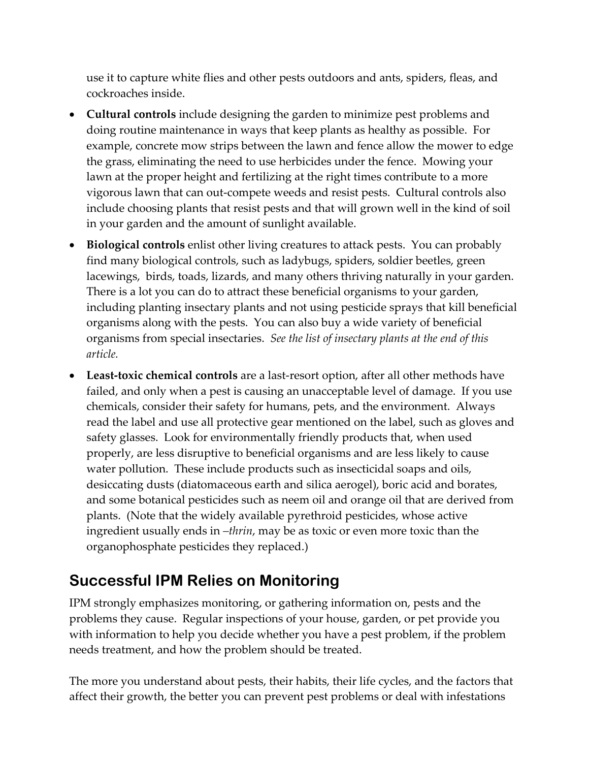use it to capture white flies and other pests outdoors and ants, spiders, fleas, and cockroaches inside.

- **Cultural controls** include designing the garden to minimize pest problems and doing routine maintenance in ways that keep plants as healthy as possible. For example, concrete mow strips between the lawn and fence allow the mower to edge the grass, eliminating the need to use herbicides under the fence. Mowing your lawn at the proper height and fertilizing at the right times contribute to a more vigorous lawn that can out‐compete weeds and resist pests. Cultural controls also include choosing plants that resist pests and that will grown well in the kind of soil in your garden and the amount of sunlight available.
- **Biological controls** enlist other living creatures to attack pests. You can probably find many biological controls, such as ladybugs, spiders, soldier beetles, green lacewings, birds, toads, lizards, and many others thriving naturally in your garden. There is a lot you can do to attract these beneficial organisms to your garden, including planting insectary plants and not using pesticide sprays that kill beneficial organisms along with the pests. You can also buy a wide variety of beneficial organisms from special insectaries. *See the list of insectary plants at the end of this article.*
- **Least‐toxic chemical controls** are a last‐resort option, after all other methods have failed, and only when a pest is causing an unacceptable level of damage. If you use chemicals, consider their safety for humans, pets, and the environment. Always read the label and use all protective gear mentioned on the label, such as gloves and safety glasses. Look for environmentally friendly products that, when used properly, are less disruptive to beneficial organisms and are less likely to cause water pollution. These include products such as insecticidal soaps and oils, desiccating dusts (diatomaceous earth and silica aerogel), boric acid and borates, and some botanical pesticides such as neem oil and orange oil that are derived from plants. (Note that the widely available pyrethroid pesticides, whose active ingredient usually ends in *–thrin*, may be as toxic or even more toxic than the organophosphate pesticides they replaced.)

### **Successful IPM Relies on Monitoring**

IPM strongly emphasizes monitoring, or gathering information on, pests and the problems they cause. Regular inspections of your house, garden, or pet provide you with information to help you decide whether you have a pest problem, if the problem needs treatment, and how the problem should be treated.

The more you understand about pests, their habits, their life cycles, and the factors that affect their growth, the better you can prevent pest problems or deal with infestations